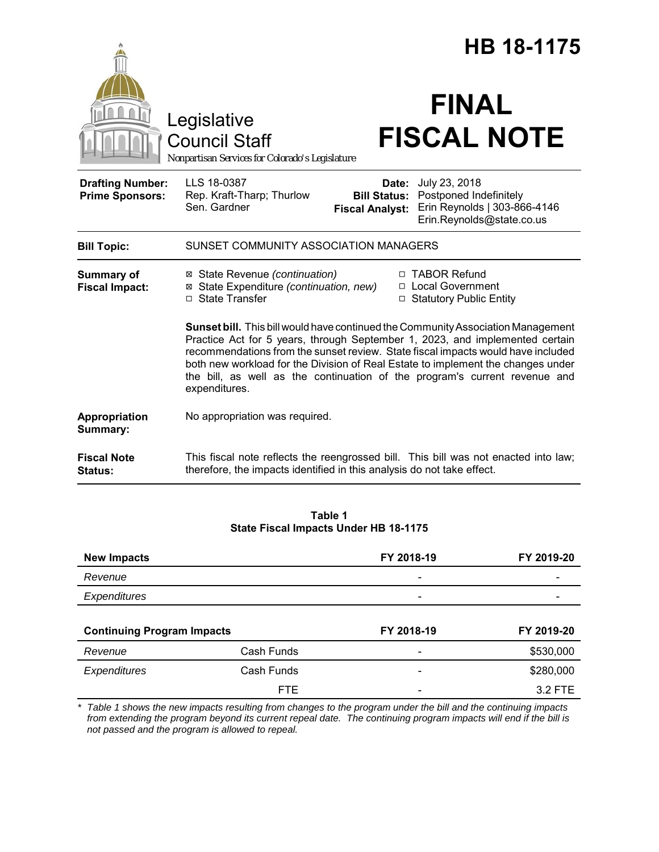|                                                   |                                                                                               |                                                        | <b>HB 18-1175</b>                                                                                                                                                                                                                                                                                                                                                                                                      |
|---------------------------------------------------|-----------------------------------------------------------------------------------------------|--------------------------------------------------------|------------------------------------------------------------------------------------------------------------------------------------------------------------------------------------------------------------------------------------------------------------------------------------------------------------------------------------------------------------------------------------------------------------------------|
|                                                   | Legislative<br><b>Council Staff</b><br>Nonpartisan Services for Colorado's Legislature        |                                                        | <b>FINAL</b><br><b>FISCAL NOTE</b>                                                                                                                                                                                                                                                                                                                                                                                     |
| <b>Drafting Number:</b><br><b>Prime Sponsors:</b> | LLS 18-0387<br>Rep. Kraft-Tharp; Thurlow<br>Sen. Gardner                                      | Date:<br><b>Bill Status:</b><br><b>Fiscal Analyst:</b> | July 23, 2018<br>Postponed Indefinitely<br>Erin Reynolds   303-866-4146<br>Erin.Reynolds@state.co.us                                                                                                                                                                                                                                                                                                                   |
| <b>Bill Topic:</b>                                | SUNSET COMMUNITY ASSOCIATION MANAGERS                                                         |                                                        |                                                                                                                                                                                                                                                                                                                                                                                                                        |
| <b>Summary of</b><br><b>Fiscal Impact:</b>        | ⊠ State Revenue (continuation)<br>⊠ State Expenditure (continuation, new)<br>□ State Transfer |                                                        | □ TABOR Refund<br>□ Local Government<br>□ Statutory Public Entity                                                                                                                                                                                                                                                                                                                                                      |
|                                                   | expenditures.                                                                                 |                                                        | Sunset bill. This bill would have continued the Community Association Management<br>Practice Act for 5 years, through September 1, 2023, and implemented certain<br>recommendations from the sunset review. State fiscal impacts would have included<br>both new workload for the Division of Real Estate to implement the changes under<br>the bill, as well as the continuation of the program's current revenue and |
| Appropriation<br>Summary:                         | No appropriation was required.                                                                |                                                        |                                                                                                                                                                                                                                                                                                                                                                                                                        |
| <b>Fiscal Note</b><br>Status:                     | therefore, the impacts identified in this analysis do not take effect.                        |                                                        | This fiscal note reflects the reengrossed bill. This bill was not enacted into law;                                                                                                                                                                                                                                                                                                                                    |

#### **Table 1 State Fiscal Impacts Under HB 18-1175**

| <b>New Impacts</b>  |                                   | FY 2018-19               | FY 2019-20 |
|---------------------|-----------------------------------|--------------------------|------------|
| Revenue             |                                   | $\overline{\phantom{a}}$ |            |
| Expenditures        |                                   |                          |            |
|                     |                                   |                          |            |
|                     | <b>Continuing Program Impacts</b> |                          |            |
|                     |                                   | FY 2018-19               | FY 2019-20 |
| Revenue             | Cash Funds                        | -                        | \$530,000  |
| <b>Expenditures</b> | Cash Funds                        |                          | \$280,000  |

*\* Table 1 shows the new impacts resulting from changes to the program under the bill and the continuing impacts from extending the program beyond its current repeal date. The continuing program impacts will end if the bill is not passed and the program is allowed to repeal.*